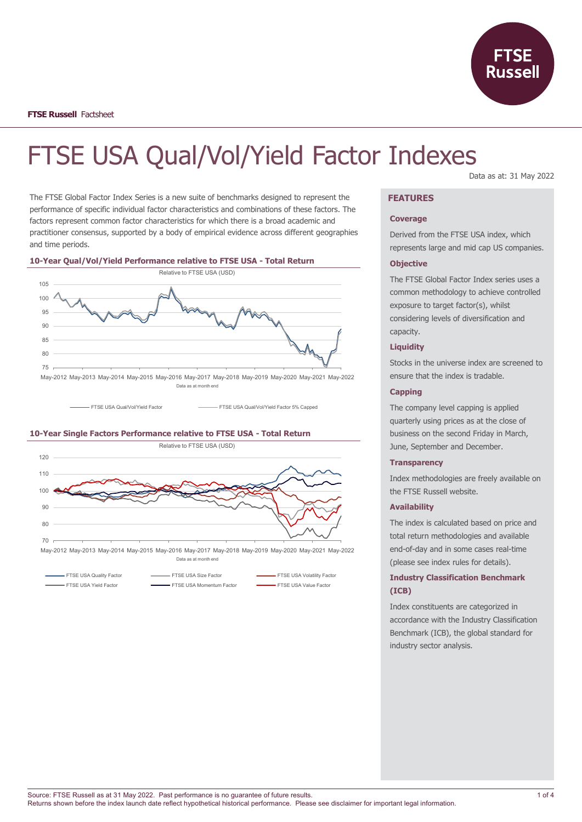

# FTSE USA Qual/Vol/Yield Factor Indexes

The FTSE Global Factor Index Series is a new suite of benchmarks designed to represent the performance of specific individual factor characteristics and combinations of these factors. The factors represent common factor characteristics for which there is a broad academic and practitioner consensus, supported by a body of empirical evidence across different geographies and time periods.

#### **10-Year Qual/Vol/Yield Performance relative to FTSE USA - Total Return**



FTSE USA Qual/Vol/Yield Factor FTSE USA Qual/Vol/Yield Factor 5% Capped

#### **10-Year Single Factors Performance relative to FTSE USA - Total Return**



Data as at month end

FTSE USA Quality Factor **FTSE USA Size Factor** FTSE USA Volatility Factor **FTSE USA Volatility Factor** FTSE USA Yield Factor **FISE USA Momentum Factor** FTSE USA Value Factor **FISE USA Value Factor** 

#### Data as at: 31 May 2022

## **FEATURES**

#### **Coverage**

Derived from the FTSE USA index, which represents large and mid cap US companies.

#### **Objective**

The FTSE Global Factor Index series uses a common methodology to achieve controlled exposure to target factor(s), whilst considering levels of diversification and capacity.

## **Liquidity**

Stocks in the universe index are screened to ensure that the index is tradable.

#### **Capping**

The company level capping is applied quarterly using prices as at the close of business on the second Friday in March, June, September and December.

#### **Transparency**

Index methodologies are freely available on the FTSE Russell website.

#### **Availability**

The index is calculated based on price and total return methodologies and available end-of-day and in some cases real-time (please see index rules for details).

## **Industry Classification Benchmark (ICB)**

Index constituents are categorized in accordance with the Industry Classification Benchmark (ICB), the global standard for industry sector analysis.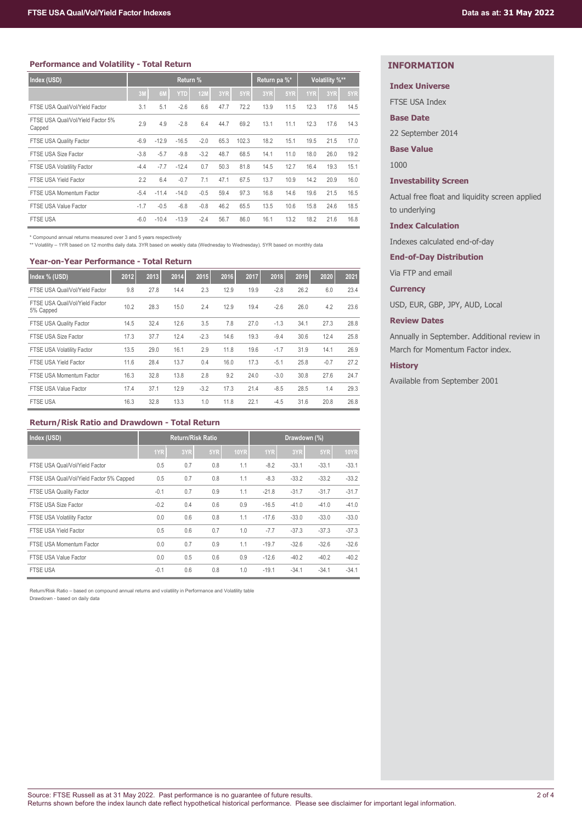#### **Performance and Volatility - Total Return**

| Index (USD)                                 | Return % |         |            |            |      | Return pa %* |      | Volatility %** |      |      |      |
|---------------------------------------------|----------|---------|------------|------------|------|--------------|------|----------------|------|------|------|
|                                             | 3M       | 6M      | <b>YTD</b> | <b>12M</b> | 3YR  | 5YR          | 3YR  | 5YR            | 1YR  | 3YR  | 5YR  |
| FTSE USA Qual/Vol/Yield Factor              | 3.1      | 5.1     | $-2.6$     | 6.6        | 47.7 | 72.2         | 13.9 | 11.5           | 12.3 | 17.6 | 14.5 |
| FTSE USA Qual/Vol/Yield Factor 5%<br>Capped | 2.9      | 4.9     | $-2.8$     | 6.4        | 44.7 | 69.2         | 13.1 | 11.1           | 12.3 | 17.6 | 14.3 |
| FTSE USA Quality Factor                     | $-6.9$   | $-12.9$ | $-16.5$    | $-2.0$     | 65.3 | 102.3        | 18.2 | 15.1           | 19.5 | 21.5 | 17.0 |
| FTSE USA Size Factor                        | $-3.8$   | $-5.7$  | $-9.8$     | $-3.2$     | 48.7 | 68.5         | 14.1 | 11.0           | 18.0 | 26.0 | 19.2 |
| FTSE USA Volatility Factor                  | $-4.4$   | $-7.7$  | $-12.4$    | 0.7        | 50.3 | 81.8         | 14.5 | 12.7           | 16.4 | 19.3 | 15.1 |
| FTSE USA Yield Factor                       | 2.2      | 6.4     | $-0.7$     | 7.1        | 47.1 | 67.5         | 13.7 | 10.9           | 14.2 | 20.9 | 16.0 |
| FTSE USA Momentum Factor                    | $-5.4$   | $-11.4$ | $-14.0$    | $-0.5$     | 59.4 | 97.3         | 16.8 | 14.6           | 19.6 | 21.5 | 16.5 |
| FTSE USA Value Factor                       | $-1.7$   | $-0.5$  | $-6.8$     | $-0.8$     | 46.2 | 65.5         | 13.5 | 10.6           | 15.8 | 24.6 | 18.5 |
| <b>FTSE USA</b>                             | $-6.0$   | $-10.4$ | $-13.9$    | $-2.4$     | 56.7 | 86.0         | 16.1 | 13.2           | 18.2 | 21.6 | 16.8 |

\* Compound annual returns measured over 3 and 5 years respectively \*\* Volatility – 1YR based on 12 months daily data. 3YR based on weekly data (Wednesday to Wednesday). 5YR based on monthly data

#### **Year-on-Year Performance - Total Return**

| Index % (USD)                               | 2012 | 2013 | 2014 | 2015   | 2016 | 2017 | 2018   | 2019 | 2020   | 2021 |
|---------------------------------------------|------|------|------|--------|------|------|--------|------|--------|------|
| FTSE USA Qual/Vol/Yield Factor              | 9.8  | 27.8 | 14.4 | 2.3    | 12.9 | 19.9 | $-2.8$ | 26.2 | 6.0    | 23.4 |
| FTSE USA Qual/Vol/Yield Factor<br>5% Capped | 10.2 | 28.3 | 15.0 | 2.4    | 12.9 | 19.4 | $-2.6$ | 26.0 | 4.2    | 23.6 |
| FTSE USA Quality Factor                     | 14.5 | 32.4 | 12.6 | 3.5    | 7.8  | 27.0 | $-1.3$ | 34.1 | 27.3   | 28.8 |
| FTSE USA Size Factor                        | 17.3 | 37.7 | 12.4 | $-2.3$ | 14.6 | 19.3 | $-9.4$ | 30.6 | 12.4   | 25.8 |
| FTSE USA Volatility Factor                  | 13.5 | 29.0 | 16.1 | 2.9    | 11.8 | 19.6 | $-1.7$ | 31.9 | 14.1   | 26.9 |
| FTSE USA Yield Factor                       | 11.6 | 28.4 | 13.7 | 0.4    | 16.0 | 17.3 | $-5.1$ | 25.8 | $-0.7$ | 27.2 |
| FTSE USA Momentum Factor                    | 16.3 | 32.8 | 13.8 | 2.8    | 9.2  | 24.0 | $-3.0$ | 30.8 | 27.6   | 24.7 |
| FTSE USA Value Factor                       | 17.4 | 37.1 | 12.9 | $-3.2$ | 17.3 | 21.4 | $-8.5$ | 28.5 | 1.4    | 29.3 |
| <b>FTSE USA</b>                             | 16.3 | 32.8 | 13.3 | 1.0    | 11.8 | 22.1 | $-4.5$ | 31.6 | 20.8   | 26.8 |

#### **Return/Risk Ratio and Drawdown - Total Return**

| Index (USD)                              | <b>Return/Risk Ratio</b> |     |     |             |         |         |         |             |
|------------------------------------------|--------------------------|-----|-----|-------------|---------|---------|---------|-------------|
|                                          | 1YR                      | 3YR | 5YR | <b>10YR</b> | 1YR     | 3YR     | 5YR     | <b>10YR</b> |
| FTSE USA Qual/Vol/Yield Factor           | 0.5                      | 0.7 | 0.8 | 1.1         | $-8.2$  | $-33.1$ | $-33.1$ | $-33.1$     |
| FTSE USA Qual/Vol/Yield Factor 5% Capped | 0.5                      | 0.7 | 0.8 | 1.1         | $-8.3$  | $-33.2$ | $-33.2$ | $-33.2$     |
| FTSE USA Quality Factor                  | $-0.1$                   | 0.7 | 0.9 | 1.1         | $-21.8$ | $-31.7$ | $-31.7$ | $-31.7$     |
| FTSE USA Size Factor                     | $-0.2$                   | 0.4 | 0.6 | 0.9         | $-16.5$ | $-41.0$ | $-41.0$ | $-41.0$     |
| <b>FTSE USA Volatility Factor</b>        | 0.0                      | 0.6 | 0.8 | 1.1         | $-17.6$ | $-33.0$ | $-33.0$ | $-33.0$     |
| FTSE USA Yield Factor                    | 0.5                      | 0.6 | 0.7 | 1.0         | $-7.7$  | $-37.3$ | $-37.3$ | $-37.3$     |
| FTSE USA Momentum Factor                 | 0.0                      | 0.7 | 0.9 | 1.1         | $-19.7$ | $-32.6$ | $-32.6$ | $-32.6$     |
| FTSE USA Value Factor                    | 0.0                      | 0.5 | 0.6 | 0.9         | $-12.6$ | $-40.2$ | $-40.2$ | $-40.2$     |
| <b>FTSE USA</b>                          | $-0.1$                   | 0.6 | 0.8 | 1.0         | $-19.1$ | $-34.1$ | $-34.1$ | $-34.1$     |

Return/Risk Ratio – based on compound annual returns and volatility in Performance and Volatility table Drawdown - based on daily data

## **INFORMATION**

## **Index Universe**

FTSE USA Index

#### **Base Date**

22 September 2014

#### **Base Value**

1000

#### **Investability Screen**

Actual free float and liquidity screen applied to underlying

#### **Index Calculation**

Indexes calculated end-of-day

#### **End-of-Day Distribution**

Via FTP and email

#### **Currency**

USD, EUR, GBP, JPY, AUD, Local

#### **Review Dates**

Annually in September. Additional review in March for Momentum Factor index.

## **History**

Available from September 2001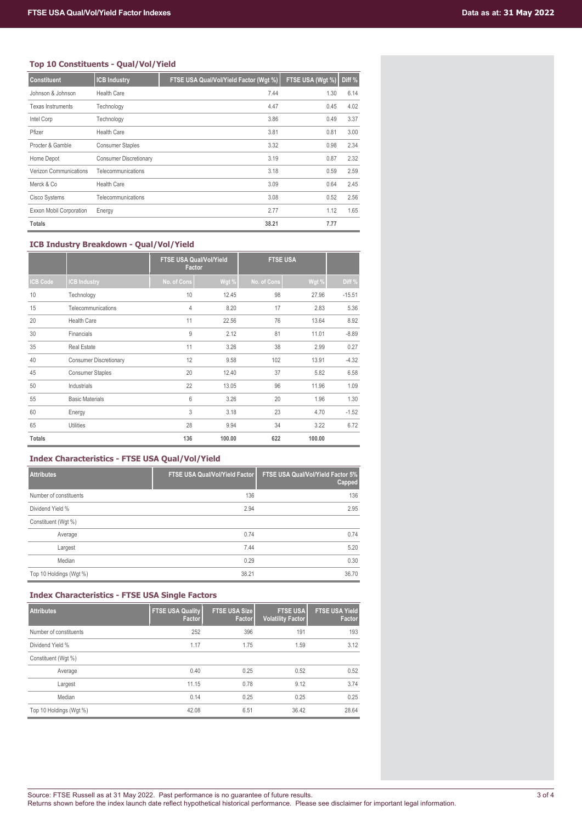## **Top 10 Constituents - Qual/Vol/Yield**

| <b>Constituent</b>       | <b>ICB Industry</b>           | FTSE USA Qual/Vol/Yield Factor (Wgt %) | FTSE USA (Wgt %) | Diff % |
|--------------------------|-------------------------------|----------------------------------------|------------------|--------|
| Johnson & Johnson        | Health Care                   | 7.44                                   | 1.30             | 6.14   |
| <b>Texas Instruments</b> | Technology                    | 4.47                                   | 0.45             | 4.02   |
| Intel Corp               | Technology                    | 3.86                                   | 0.49             | 3.37   |
| Pfizer                   | <b>Health Care</b>            | 3.81                                   | 0.81             | 3.00   |
| Procter & Gamble         | <b>Consumer Staples</b>       | 3.32                                   | 0.98             | 2.34   |
| Home Depot               | <b>Consumer Discretionary</b> | 3.19                                   | 0.87             | 2.32   |
| Verizon Communications   | Telecommunications            | 3.18                                   | 0.59             | 2.59   |
| Merck & Co               | <b>Health Care</b>            | 3.09                                   | 0.64             | 2.45   |
| Cisco Systems            | Telecommunications            | 3.08                                   | 0.52             | 2.56   |
| Exxon Mobil Corporation  | Energy                        | 2.77                                   | 1.12             | 1.65   |
| <b>Totals</b>            |                               | 38.21                                  | 7.77             |        |

## **ICB Industry Breakdown - Qual/Vol/Yield**

|                 |                               | <b>FTSE USA Qual/Vol/Yield</b><br><b>Factor</b> |        | <b>FTSE USA</b> |        |          |
|-----------------|-------------------------------|-------------------------------------------------|--------|-----------------|--------|----------|
| <b>ICB Code</b> | <b>ICB Industry</b>           | No. of Cons                                     | Wgt %  | No. of Cons     | Wgt %  | Diff %   |
| 10              | Technology                    | 10                                              | 12.45  | 98              | 27.96  | $-15.51$ |
| 15              | Telecommunications            | $\overline{4}$                                  | 8.20   | 17              | 2.83   | 5.36     |
| 20              | <b>Health Care</b>            | 11                                              | 22.56  | 76              | 13.64  | 8.92     |
| 30              | Financials                    | 9                                               | 2.12   | 81              | 11.01  | $-8.89$  |
| 35              | <b>Real Estate</b>            | 11                                              | 3.26   | 38              | 2.99   | 0.27     |
| 40              | <b>Consumer Discretionary</b> | 12                                              | 9.58   | 102             | 13.91  | $-4.32$  |
| 45              | <b>Consumer Staples</b>       | 20                                              | 12.40  | 37              | 5.82   | 6.58     |
| 50              | Industrials                   | 22                                              | 13.05  | 96              | 11.96  | 1.09     |
| 55              | <b>Basic Materials</b>        | 6                                               | 3.26   | 20              | 1.96   | 1.30     |
| 60              | Energy                        | 3                                               | 3.18   | 23              | 4.70   | $-1.52$  |
| 65              | <b>Utilities</b>              | 28                                              | 9.94   | 34              | 3.22   | 6.72     |
| <b>Totals</b>   |                               | 136                                             | 100.00 | 622             | 100.00 |          |

## **Index Characteristics - FTSE USA Qual/Vol/Yield**

| <b>Attributes</b>       | <b>FTSE USA Qual/Vol/Yield Factor</b> | FTSE USA Qual/Vol/Yield Factor 5%<br>Capped |
|-------------------------|---------------------------------------|---------------------------------------------|
| Number of constituents  | 136                                   | 136                                         |
| Dividend Yield %        | 2.94                                  | 2.95                                        |
| Constituent (Wgt %)     |                                       |                                             |
| Average                 | 0.74                                  | 0.74                                        |
| Largest                 | 7.44                                  | 5.20                                        |
| Median                  | 0.29                                  | 0.30                                        |
| Top 10 Holdings (Wgt %) | 38.21                                 | 36.70                                       |

## **Index Characteristics - FTSE USA Single Factors**

| <b>Attributes</b>       | <b>FTSE USA Quality</b><br>Factor | <b>FTSE USA Size</b><br>Factor | <b>FTSE USA</b><br><b>Volatility Factor</b> | <b>FTSE USA Yield</b><br>Factor |
|-------------------------|-----------------------------------|--------------------------------|---------------------------------------------|---------------------------------|
| Number of constituents  | 252                               | 396                            | 191                                         | 193                             |
| Dividend Yield %        | 1.17                              | 1.75                           | 1.59                                        | 3.12                            |
| Constituent (Wgt %)     |                                   |                                |                                             |                                 |
| Average                 | 0.40                              | 0.25                           | 0.52                                        | 0.52                            |
| Largest                 | 11.15                             | 0.78                           | 9.12                                        | 3.74                            |
| Median                  | 0.14                              | 0.25                           | 0.25                                        | 0.25                            |
| Top 10 Holdings (Wgt %) | 42.08                             | 6.51                           | 36.42                                       | 28.64                           |